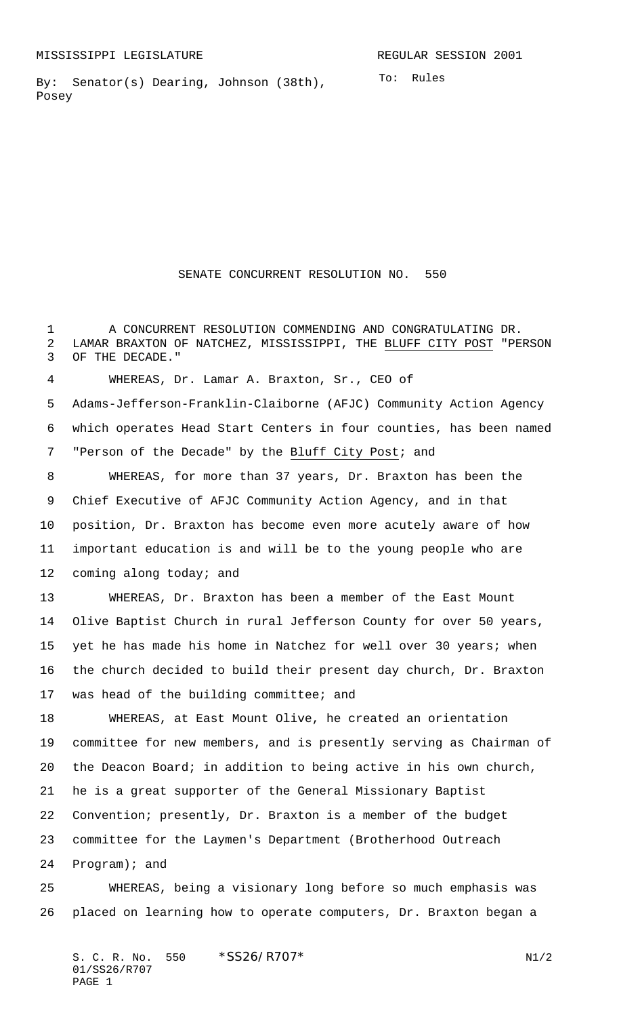By: Senator(s) Dearing, Johnson (38th), Posey

## SENATE CONCURRENT RESOLUTION NO. 550

 A CONCURRENT RESOLUTION COMMENDING AND CONGRATULATING DR. LAMAR BRAXTON OF NATCHEZ, MISSISSIPPI, THE BLUFF CITY POST "PERSON OF THE DECADE."

WHEREAS, Dr. Lamar A. Braxton, Sr., CEO of

 Adams-Jefferson-Franklin-Claiborne (AFJC) Community Action Agency which operates Head Start Centers in four counties, has been named "Person of the Decade" by the Bluff City Post; and

 WHEREAS, for more than 37 years, Dr. Braxton has been the Chief Executive of AFJC Community Action Agency, and in that position, Dr. Braxton has become even more acutely aware of how important education is and will be to the young people who are 12 coming along today; and

 WHEREAS, Dr. Braxton has been a member of the East Mount Olive Baptist Church in rural Jefferson County for over 50 years, 15 yet he has made his home in Natchez for well over 30 years; when the church decided to build their present day church, Dr. Braxton was head of the building committee; and

 WHEREAS, at East Mount Olive, he created an orientation committee for new members, and is presently serving as Chairman of the Deacon Board; in addition to being active in his own church, he is a great supporter of the General Missionary Baptist Convention; presently, Dr. Braxton is a member of the budget committee for the Laymen's Department (Brotherhood Outreach Program); and

 WHEREAS, being a visionary long before so much emphasis was placed on learning how to operate computers, Dr. Braxton began a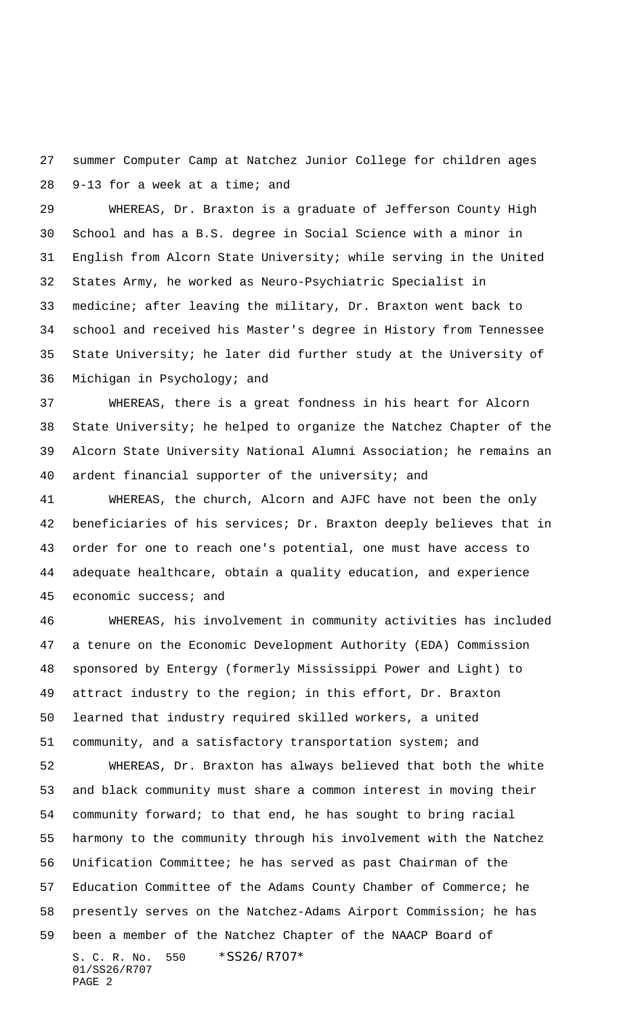summer Computer Camp at Natchez Junior College for children ages 9-13 for a week at a time; and

 WHEREAS, Dr. Braxton is a graduate of Jefferson County High School and has a B.S. degree in Social Science with a minor in English from Alcorn State University; while serving in the United States Army, he worked as Neuro-Psychiatric Specialist in medicine; after leaving the military, Dr. Braxton went back to school and received his Master's degree in History from Tennessee State University; he later did further study at the University of Michigan in Psychology; and

 WHEREAS, there is a great fondness in his heart for Alcorn State University; he helped to organize the Natchez Chapter of the Alcorn State University National Alumni Association; he remains an ardent financial supporter of the university; and

 WHEREAS, the church, Alcorn and AJFC have not been the only beneficiaries of his services; Dr. Braxton deeply believes that in order for one to reach one's potential, one must have access to adequate healthcare, obtain a quality education, and experience economic success; and

 WHEREAS, his involvement in community activities has included a tenure on the Economic Development Authority (EDA) Commission sponsored by Entergy (formerly Mississippi Power and Light) to attract industry to the region; in this effort, Dr. Braxton learned that industry required skilled workers, a united community, and a satisfactory transportation system; and

S. C. R. No. 550 \*SS26/R707\* 01/SS26/R707 PAGE 2 WHEREAS, Dr. Braxton has always believed that both the white and black community must share a common interest in moving their community forward; to that end, he has sought to bring racial harmony to the community through his involvement with the Natchez Unification Committee; he has served as past Chairman of the Education Committee of the Adams County Chamber of Commerce; he presently serves on the Natchez-Adams Airport Commission; he has been a member of the Natchez Chapter of the NAACP Board of